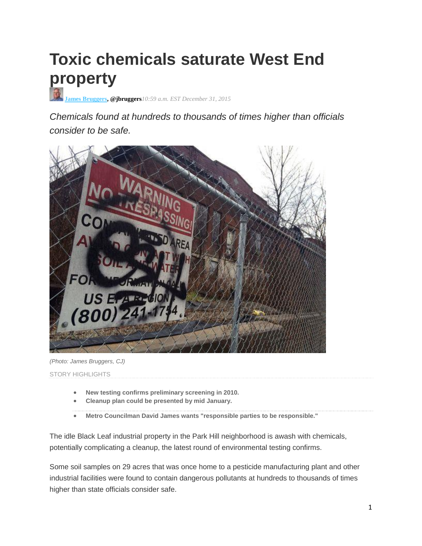## **Toxic chemicals saturate West End property**

**[James Bruggers,](http://www.courier-journal.com/staff/5319/james-bruggers/) @jbruggers***10:59 a.m. EST December 31, 2015*

*Chemicals found at hundreds to thousands of times higher than officials consider to be safe.*



*(Photo: James Bruggers, CJ)* STORY HIGHLIGHTS

- **New testing confirms preliminary screening in 2010.**
- **Cleanup plan could be presented by mid January.**
- **Metro Councilman David James wants "responsible parties to be responsible."**

The idle Black Leaf industrial property in the Park Hill neighborhood is awash with chemicals, potentially complicating a cleanup, the latest round of environmental testing confirms.

Some soil samples on 29 acres that was once home to a pesticide manufacturing plant and other industrial facilities were found to contain dangerous pollutants at hundreds to thousands of times higher than state officials consider safe.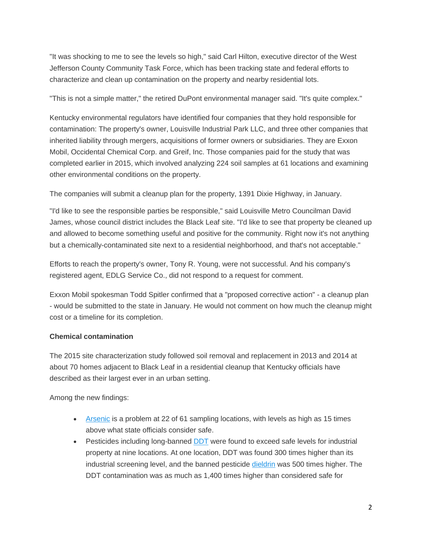"It was shocking to me to see the levels so high," said Carl Hilton, executive director of the West Jefferson County Community Task Force, which has been tracking state and federal efforts to characterize and clean up contamination on the property and nearby residential lots.

"This is not a simple matter," the retired DuPont environmental manager said. "It's quite complex."

Kentucky environmental regulators have identified four companies that they hold responsible for contamination: The property's owner, Louisville Industrial Park LLC, and three other companies that inherited liability through mergers, acquisitions of former owners or subsidiaries. They are Exxon Mobil, Occidental Chemical Corp. and Greif, Inc. Those companies paid for the study that was completed earlier in 2015, which involved analyzing 224 soil samples at 61 locations and examining other environmental conditions on the property.

The companies will submit a cleanup plan for the property, 1391 Dixie Highway, in January.

"I'd like to see the responsible parties be responsible," said Louisville Metro Councilman David James, whose council district includes the Black Leaf site. "I'd like to see that property be cleaned up and allowed to become something useful and positive for the community. Right now it's not anything but a chemically-contaminated site next to a residential neighborhood, and that's not acceptable."

Efforts to reach the property's owner, Tony R. Young, were not successful. And his company's registered agent, EDLG Service Co., did not respond to a request for comment.

Exxon Mobil spokesman Todd Spitler confirmed that a "proposed corrective action" - a cleanup plan - would be submitted to the state in January. He would not comment on how much the cleanup might cost or a timeline for its completion.

## **Chemical contamination**

The 2015 site characterization study followed soil removal and replacement in 2013 and 2014 at about 70 homes adjacent to Black Leaf in a residential cleanup that Kentucky officials have described as their largest ever in an urban setting.

Among the new findings:

- [Arsenic](http://www.atsdr.cdc.gov/toxprofiles/tp.asp?id=22&tid=3) is a problem at 22 of 61 sampling locations, with levels as high as 15 times above what state officials consider safe.
- Pesticides including long-banned [DDT](http://www.epa.gov/ingredients-used-pesticide-products/ddt-brief-history-and-status) were found to exceed safe levels for industrial property at nine locations. At one location, DDT was found 300 times higher than its industrial screening level, and the banned pesticide [dieldrin](http://www.atsdr.cdc.gov/toxfaqs/tf.asp?id=316&tid=56) was 500 times higher. The DDT contamination was as much as 1,400 times higher than considered safe for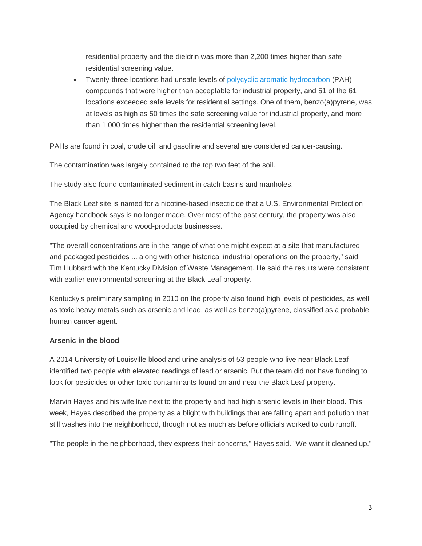residential property and the dieldrin was more than 2,200 times higher than safe residential screening value.

• Twenty-three locations had unsafe levels of [polycyclic aromatic hydrocarbon](http://www.atsdr.cdc.gov/toxprofiles/tp.asp?id=122&tid=25) (PAH) compounds that were higher than acceptable for industrial property, and 51 of the 61 locations exceeded safe levels for residential settings. One of them, benzo(a)pyrene, was at levels as high as 50 times the safe screening value for industrial property, and more than 1,000 times higher than the residential screening level.

PAHs are found in coal, crude oil, and gasoline and several are considered cancer-causing.

The contamination was largely contained to the top two feet of the soil.

The study also found contaminated sediment in catch basins and manholes.

The Black Leaf site is named for a nicotine-based insecticide that a U.S. Environmental Protection Agency handbook says is no longer made. Over most of the past century, the property was also occupied by chemical and wood-products businesses.

"The overall concentrations are in the range of what one might expect at a site that manufactured and packaged pesticides ... along with other historical industrial operations on the property," said Tim Hubbard with the Kentucky Division of Waste Management. He said the results were consistent with earlier environmental screening at the Black Leaf property.

Kentucky's preliminary sampling in 2010 on the property also found high levels of pesticides, as well as toxic heavy metals such as arsenic and lead, as well as benzo(a)pyrene, classified as a probable human cancer agent.

## **Arsenic in the blood**

A 2014 University of Louisville blood and urine analysis of 53 people who live near Black Leaf identified two people with elevated readings of lead or arsenic. But the team did not have funding to look for pesticides or other toxic contaminants found on and near the Black Leaf property.

Marvin Hayes and his wife live next to the property and had high arsenic levels in their blood. This week, Hayes described the property as a blight with buildings that are falling apart and pollution that still washes into the neighborhood, though not as much as before officials worked to curb runoff.

"The people in the neighborhood, they express their concerns," Hayes said. "We want it cleaned up."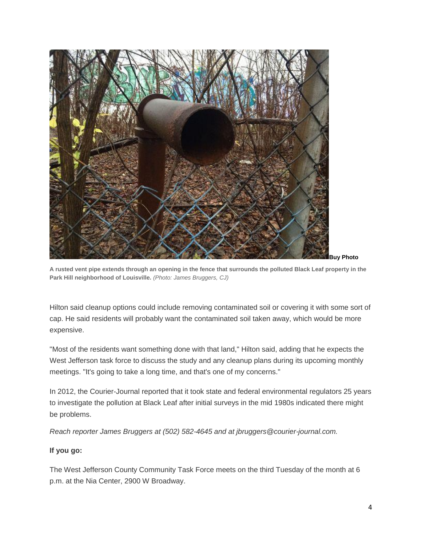

**Buy Photo**

**A rusted vent pipe extends through an opening in the fence that surrounds the polluted Black Leaf property in the Park Hill neighborhood of Louisville.** *(Photo: James Bruggers, CJ)*

Hilton said cleanup options could include removing contaminated soil or covering it with some sort of cap. He said residents will probably want the contaminated soil taken away, which would be more expensive.

"Most of the residents want something done with that land," Hilton said, adding that he expects the West Jefferson task force to discuss the study and any cleanup plans during its upcoming monthly meetings. "It's going to take a long time, and that's one of my concerns."

In 2012, the Courier-Journal reported that it took state and federal environmental regulators 25 years to investigate the pollution at Black Leaf after initial surveys in the mid 1980s indicated there might be problems.

*Reach reporter James Bruggers at (502) 582-4645 and at jbruggers@courier-journal.com.*

## **If you go:**

The West Jefferson County Community Task Force meets on the third Tuesday of the month at 6 p.m. at the Nia Center, 2900 W Broadway.